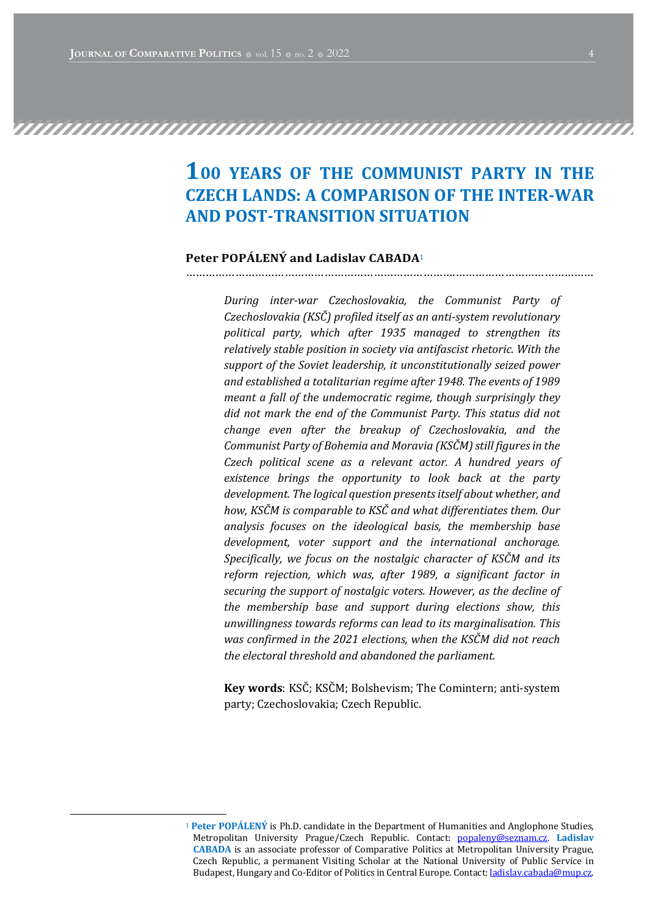# **100 YEARS OF THE COMMUNIST PARTY IN THE CZECH LANDS: A COMPARISON OF THE INTER-WAR** AND POST-TRANSITION SITUATION

#### Peter POPÁLENÝ and Ladislav CABADA<sup>1</sup>

……………………………………………………………………….……………………………………

During inter-war Czechoslovakia, the Communist Party of Czechoslovakia (KSČ) profiled itself as an anti-system revolutionary political party, which after 1935 managed to strengthen its relatively stable position in society via antifascist rhetoric. With the support of the Soviet leadership, it unconstitutionally seized power and established a totalitarian regime after 1948. The events of 1989 meant a fall of the undemocratic regime, though surprisingly they did not mark the end of the Communist Party. This status did not change even after the breakup of Czechoslovakia, and the Communist Party of Bohemia and Moravia (KSČM) still figures in the Czech political scene as a relevant actor. A hundred years of existence brings the opportunity to look back at the party development. The logical question presents itself about whether, and how, KSČM is comparable to KSČ and what differentiates them. Our analysis focuses on the ideological basis, the membership base development, voter support and the international anchorage. Specifically, we focus on the nostalgic character of  $KS\check{C}M$  and its reform rejection, which was, after 1989, a significant factor in securing the support of nostalgic voters. However, as the decline of the membership base and support during elections show, this unwillingness towards reforms can lead to its marginalisation. This was confirmed in the 2021 elections, when the KSČM did not reach the electoral threshold and abandoned the parliament.

Key words: KSČ; KSČM; Bolshevism; The Comintern; anti-system party; Czechoslovakia; Czech Republic.

<sup>&</sup>lt;sup>1</sup> Peter POPÁLENÝ is Ph.D. candidate in the Department of Humanities and Anglophone Studies, Metropolitan University Prague/Czech Republic. Contact: popaleny@seznam.cz. Ladislav CABADA is an associate professor of Comparative Politics at Metropolitan University Prague, Czech Republic, a permanent Visiting Scholar at the National University of Public Service in Budapest, Hungary and Co-Editor of Politics in Central Europe. Contact: ladislav.cabada@mup.cz.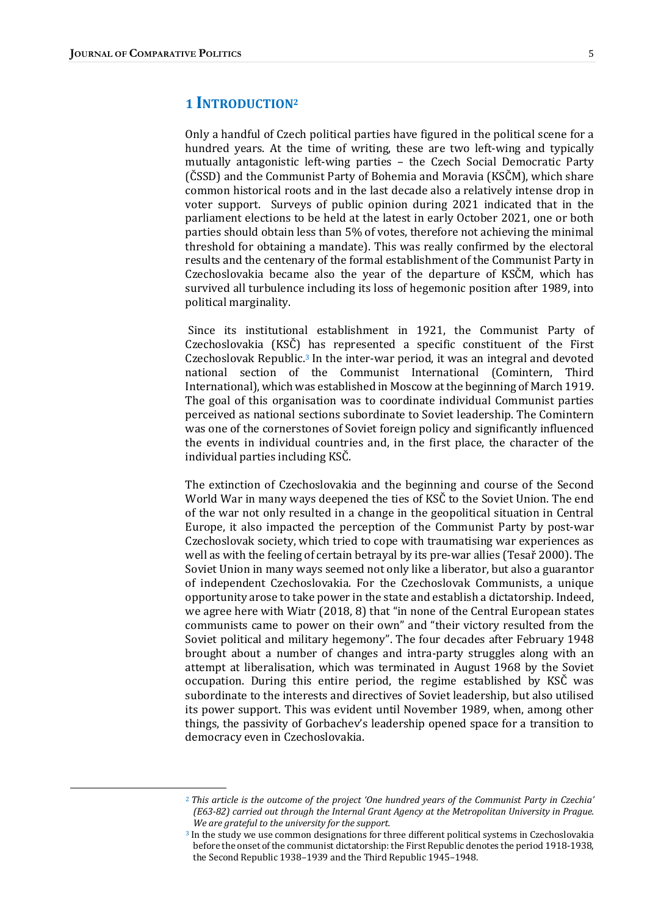#### 1 INTRODUCTION<sup>2</sup>

Only a handful of Czech political parties have figured in the political scene for a hundred years. At the time of writing, these are two left-wing and typically mutually antagonistic left-wing parties - the Czech Social Democratic Party  $(\text{CSSD})$  and the Communist Party of Bohemia and Moravia  $(KS\tilde{\text{C}}M)$ , which share common historical roots and in the last decade also a relatively intense drop in voter support. Surveys of public opinion during 2021 indicated that in the parliament elections to be held at the latest in early October 2021, one or both parties should obtain less than 5% of votes, therefore not achieving the minimal threshold for obtaining a mandate). This was really confirmed by the electoral results and the centenary of the formal establishment of the Communist Party in Czechoslovakia became also the year of the departure of KSCM, which has survived all turbulence including its loss of hegemonic position after 1989, into political marginality.

Since its institutional establishment in 1921, the Communist Party of Czechoslovakia  $(KS\check{C})$  has represented a specific constituent of the First Czechoslovak Republic.<sup>3</sup> In the inter-war period, it was an integral and devoted national section of the Communist International (Comintern, Third International), which was established in Moscow at the beginning of March 1919. The goal of this organisation was to coordinate individual Communist parties perceived as national sections subordinate to Soviet leadership. The Comintern was one of the cornerstones of Soviet foreign policy and significantly influenced the events in individual countries and, in the first place, the character of the individual parties including KSC.

The extinction of Czechoslovakia and the beginning and course of the Second World War in many ways deepened the ties of KSČ to the Soviet Union. The end of the war not only resulted in a change in the geopolitical situation in Central Europe, it also impacted the perception of the Communist Party by post-war Czechoslovak society, which tried to cope with traumatising war experiences as well as with the feeling of certain betrayal by its pre-war allies (Tesař 2000). The Soviet Union in many ways seemed not only like a liberator, but also a guarantor of independent Czechoslovakia. For the Czechoslovak Communists, a unique opportunity arose to take power in the state and establish a dictatorship. Indeed, we agree here with Wiatr (2018, 8) that "in none of the Central European states communists came to power on their own" and "their victory resulted from the Soviet political and military hegemony". The four decades after February 1948 brought about a number of changes and intra-party struggles along with an attempt at liberalisation, which was terminated in August 1968 by the Soviet occupation. During this entire period, the regime established by KSČ was subordinate to the interests and directives of Soviet leadership, but also utilised its power support. This was evident until November 1989, when, among other things, the passivity of Gorbachev's leadership opened space for a transition to democracy even in Czechoslovakia.

 $2$  This article is the outcome of the project 'One hundred years of the Communist Party in Czechia' (E63-82) carried out through the Internal Grant Agency at the Metropolitan University in Prague. We are grateful to the university for the support.

<sup>&</sup>lt;sup>3</sup> In the study we use common designations for three different political systems in Czechoslovakia before the onset of the communist dictatorship: the First Republic denotes the period 1918-1938. the Second Republic 1938-1939 and the Third Republic 1945-1948.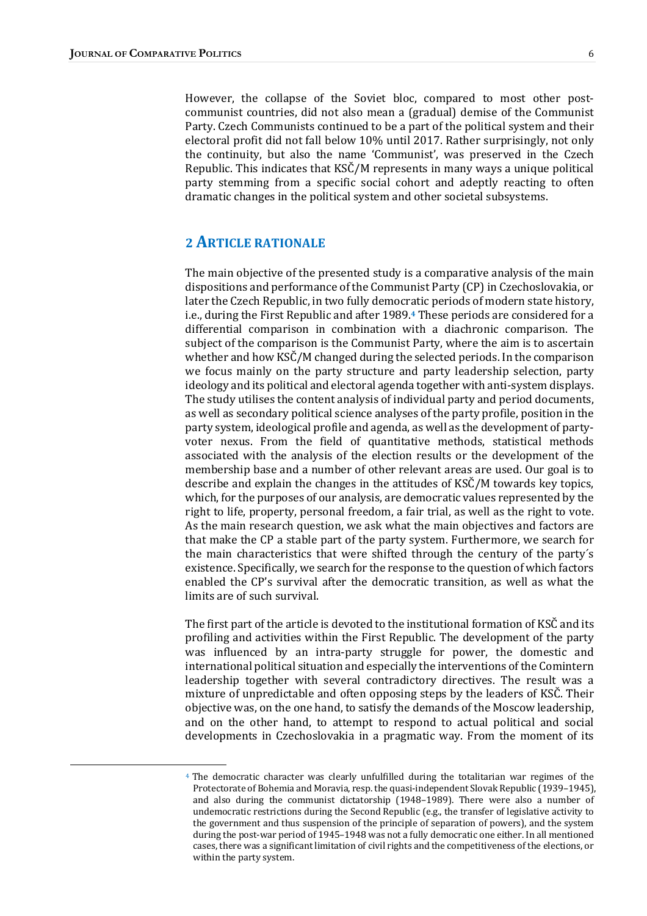However, the collapse of the Soviet bloc, compared to most other postcommunist countries, did not also mean a (gradual) demise of the Communist Party. Czech Communists continued to be a part of the political system and their electoral profit did not fall below 10% until 2017. Rather surprisingly, not only the continuity, but also the name 'Communist', was preserved in the Czech Republic. This indicates that  $KS\check{C}/M$  represents in many ways a unique political party stemming from a specific social cohort and adeptly reacting to often dramatic changes in the political system and other societal subsystems.

#### 2 **ARTICLE RATIONALE**

The main objective of the presented study is a comparative analysis of the main dispositions and performance of the Communist Party (CP) in Czechoslovakia, or later the Czech Republic, in two fully democratic periods of modern state history, i.e., during the First Republic and after 1989.<sup>4</sup> These periods are considered for a differential comparison in combination with a diachronic comparison. The subject of the comparison is the Communist Party, where the aim is to ascertain whether and how  $K\tilde{C}/M$  changed during the selected periods. In the comparison we focus mainly on the party structure and party leadership selection, party ideology and its political and electoral agenda together with anti-system displays. The study utilises the content analysis of individual party and period documents, as well as secondary political science analyses of the party profile, position in the party system, ideological profile and agenda, as well as the development of partyvoter nexus. From the field of quantitative methods, statistical methods associated with the analysis of the election results or the development of the membership base and a number of other relevant areas are used. Our goal is to describe and explain the changes in the attitudes of KSC/M towards key topics, which, for the purposes of our analysis, are democratic values represented by the right to life, property, personal freedom, a fair trial, as well as the right to vote. As the main research question, we ask what the main objectives and factors are that make the CP a stable part of the party system. Furthermore, we search for the main characteristics that were shifted through the century of the party's existence. Specifically, we search for the response to the question of which factors enabled the CP's survival after the democratic transition, as well as what the limits are of such survival.

The first part of the article is devoted to the institutional formation of KSC and its profiling and activities within the First Republic. The development of the party was influenced by an intra-party struggle for power, the domestic and international political situation and especially the interventions of the Comintern leadership together with several contradictory directives. The result was a mixture of unpredictable and often opposing steps by the leaders of KSČ. Their objective was, on the one hand, to satisfy the demands of the Moscow leadership, and on the other hand, to attempt to respond to actual political and social developments in Czechoslovakia in a pragmatic way. From the moment of its

<sup>&</sup>lt;sup>4</sup> The democratic character was clearly unfulfilled during the totalitarian war regimes of the Protectorate of Bohemia and Moravia, resp. the quasi-independent Slovak Republic (1939-1945), and also during the communist dictatorship (1948–1989). There were also a number of undemocratic restrictions during the Second Republic (e.g., the transfer of legislative activity to the government and thus suspension of the principle of separation of powers), and the system during the post-war period of 1945–1948 was not a fully democratic one either. In all mentioned cases, there was a significant limitation of civil rights and the competitiveness of the elections, or within the party system.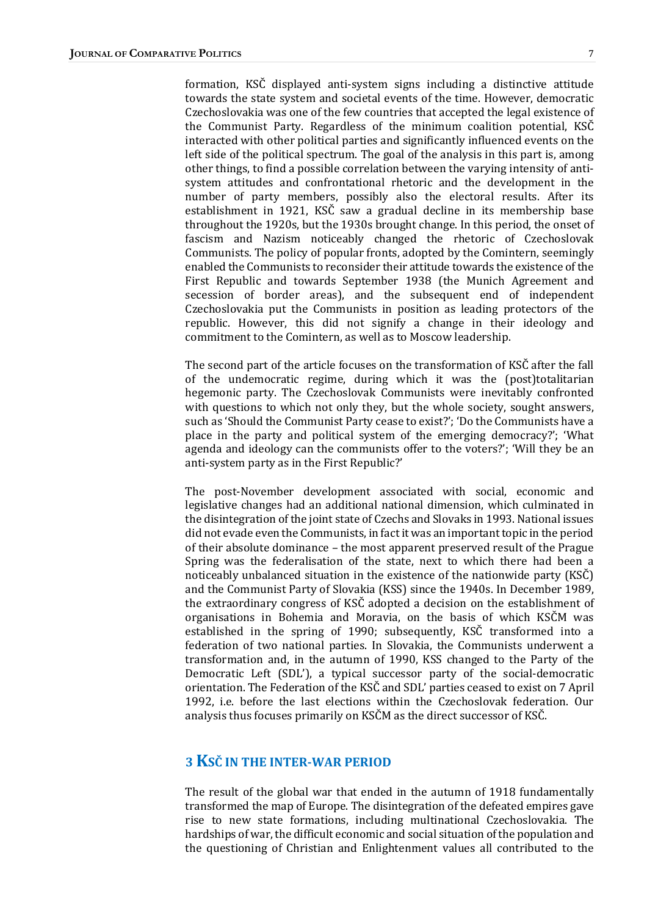formation, KSČ displayed anti-system signs including a distinctive attitude towards the state system and societal events of the time. However, democratic Czechoslovakia was one of the few countries that accepted the legal existence of the Communist Party. Regardless of the minimum coalition potential, KSČ interacted with other political parties and significantly influenced events on the left side of the political spectrum. The goal of the analysis in this part is, among other things, to find a possible correlation between the varying intensity of antisystem attitudes and confrontational rhetoric and the development in the number of party members, possibly also the electoral results. After its establishment in 1921, KSČ saw a gradual decline in its membership base throughout the 1920s, but the 1930s brought change. In this period, the onset of fascism and Nazism noticeably changed the rhetoric of Czechoslovak Communists. The policy of popular fronts, adopted by the Comintern, seemingly enabled the Communists to reconsider their attitude towards the existence of the First Republic and towards September 1938 (the Munich Agreement and secession of border areas), and the subsequent end of independent Czechoslovakia put the Communists in position as leading protectors of the republic. However, this did not signify a change in their ideology and commitment to the Comintern, as well as to Moscow leadership.

The second part of the article focuses on the transformation of KSC after the fall of the undemocratic regime, during which it was the (post)totalitarian hegemonic party. The Czechoslovak Communists were inevitably confronted with questions to which not only they, but the whole society, sought answers, such as 'Should the Communist Party cease to exist?'; 'Do the Communists have a place in the party and political system of the emerging democracy?'; 'What agenda and ideology can the communists offer to the voters?'; 'Will they be an anti-system party as in the First Republic?'

The post-November development associated with social, economic and legislative changes had an additional national dimension, which culminated in the disintegration of the joint state of Czechs and Slovaks in 1993. National issues did not evade even the Communists, in fact it was an important topic in the period of their absolute dominance – the most apparent preserved result of the Prague Spring was the federalisation of the state, next to which there had been a noticeably unbalanced situation in the existence of the nationwide party (KSČ) and the Communist Party of Slovakia (KSS) since the 1940s. In December 1989, the extraordinary congress of KSC adopted a decision on the establishment of organisations in Bohemia and Moravia, on the basis of which KSČM was established in the spring of 1990; subsequently, KSČ transformed into a federation of two national parties. In Slovakia, the Communists underwent a transformation and, in the autumn of 1990, KSS changed to the Party of the Democratic Left (SDL'), a typical successor party of the social-democratic orientation. The Federation of the KSC and SDL' parties ceased to exist on 7 April 1992, i.e. before the last elections within the Czechoslovak federation. Our analysis thus focuses primarily on KSCM as the direct successor of KSC.

## **3 KSČ IN THE INTER-WAR PERIOD**

The result of the global war that ended in the autumn of 1918 fundamentally transformed the map of Europe. The disintegration of the defeated empires gave rise to new state formations, including multinational Czechoslovakia. The hardships of war, the difficult economic and social situation of the population and the questioning of Christian and Enlightenment values all contributed to the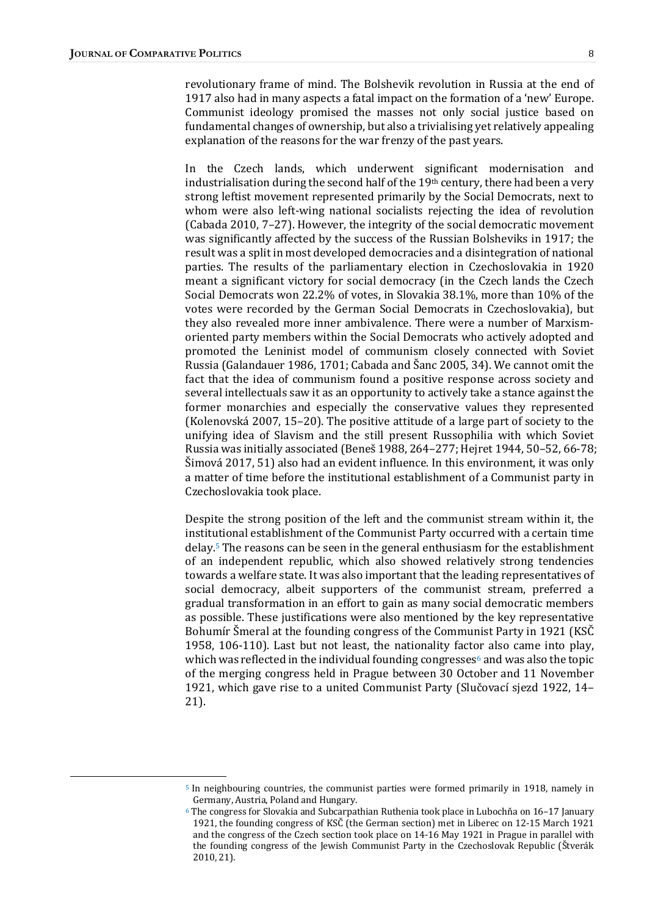revolutionary frame of mind. The Bolshevik revolution in Russia at the end of 1917 also had in many aspects a fatal impact on the formation of a 'new' Europe. Communist ideology promised the masses not only social justice based on fundamental changes of ownership, but also a trivialising yet relatively appealing explanation of the reasons for the war frenzy of the past years.

In the Czech lands, which underwent significant modernisation and industrialisation during the second half of the 19th century, there had been a very strong leftist movement represented primarily by the Social Democrats, next to whom were also left-wing national socialists rejecting the idea of revolution  $(Cabada 2010, 7–27)$ . However, the integrity of the social democratic movement was significantly affected by the success of the Russian Bolsheviks in 1917; the result was a split in most developed democracies and a disintegration of national parties. The results of the parliamentary election in Czechoslovakia in 1920 meant a significant victory for social democracy (in the Czech lands the Czech Social Democrats won 22.2% of votes, in Slovakia 38.1%, more than 10% of the votes were recorded by the German Social Democrats in Czechoslovakia), but they also revealed more inner ambivalence. There were a number of Marxismoriented party members within the Social Democrats who actively adopted and promoted the Leninist model of communism closely connected with Soviet Russia (Galandauer 1986, 1701; Cabada and Šanc 2005, 34). We cannot omit the fact that the idea of communism found a positive response across society and several intellectuals saw it as an opportunity to actively take a stance against the former monarchies and especially the conservative values they represented (Kolenovská  $2007$ , 15–20). The positive attitude of a large part of society to the unifying idea of Slavism and the still present Russophilia with which Soviet Russia was initially associated (Beneš 1988, 264–277; Hejret 1944, 50–52, 66-78; Simová 2017, 51) also had an evident influence. In this environment, it was only a matter of time before the institutional establishment of a Communist party in Czechoslovakia took place.

Despite the strong position of the left and the communist stream within it, the institutional establishment of the Communist Party occurred with a certain time delay.<sup>5</sup> The reasons can be seen in the general enthusiasm for the establishment of an independent republic, which also showed relatively strong tendencies towards a welfare state. It was also important that the leading representatives of social democracy, albeit supporters of the communist stream, preferred a gradual transformation in an effort to gain as many social democratic members as possible. These justifications were also mentioned by the key representative Bohumír Šmeral at the founding congress of the Communist Party in 1921 (KSC) 1958, 106-110). Last but not least, the nationality factor also came into play, which was reflected in the individual founding congresses<sup>6</sup> and was also the topic of the merging congress held in Prague between 30 October and 11 November 1921, which gave rise to a united Communist Party (Slučovací sjezd 1922, 14-21). 

<sup>&</sup>lt;sup>5</sup> In neighbouring countries, the communist parties were formed primarily in 1918, namely in Germany, Austria, Poland and Hungary.

 $6$  The congress for Slovakia and Subcarpathian Ruthenia took place in Lubochňa on 16–17 January 1921, the founding congress of KSC (the German section) met in Liberec on 12-15 March 1921 and the congress of the Czech section took place on 14-16 May 1921 in Prague in parallel with the founding congress of the Jewish Communist Party in the Czechoslovak Republic (Štverák 2010, 21).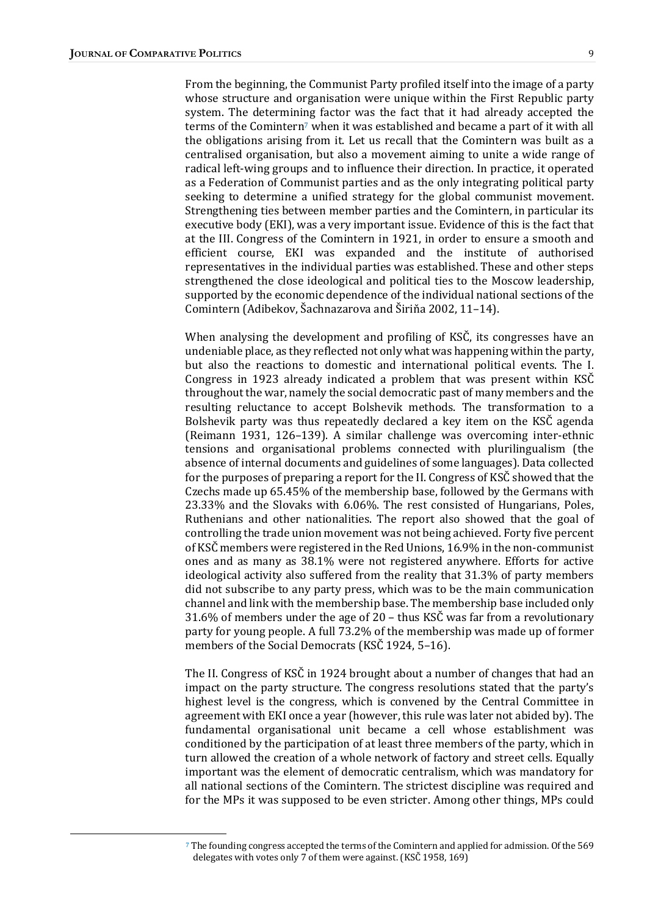From the beginning, the Communist Party profiled itself into the image of a party whose structure and organisation were unique within the First Republic party system. The determining factor was the fact that it had already accepted the terms of the Comintern<sup>7</sup> when it was established and became a part of it with all the obligations arising from it. Let us recall that the Comintern was built as a centralised organisation, but also a movement aiming to unite a wide range of radical left-wing groups and to influence their direction. In practice, it operated as a Federation of Communist parties and as the only integrating political party seeking to determine a unified strategy for the global communist movement. Strengthening ties between member parties and the Comintern, in particular its executive body (EKI), was a very important issue. Evidence of this is the fact that at the III. Congress of the Comintern in 1921, in order to ensure a smooth and efficient course, EKI was expanded and the institute of authorised representatives in the individual parties was established. These and other steps strengthened the close ideological and political ties to the Moscow leadership, supported by the economic dependence of the individual national sections of the Comintern (Adibekov, Šachnazarova and Širiňa 2002, 11–14).

When analysing the development and profiling of KSC, its congresses have an undeniable place, as they reflected not only what was happening within the party, but also the reactions to domestic and international political events. The I. Congress in 1923 already indicated a problem that was present within KSČ throughout the war, namely the social democratic past of many members and the resulting reluctance to accept Bolshevik methods. The transformation to a Bolshevik party was thus repeatedly declared a key item on the KSC agenda (Reimann 1931, 126–139). A similar challenge was overcoming inter-ethnic tensions and organisational problems connected with plurilingualism (the absence of internal documents and guidelines of some languages). Data collected for the purposes of preparing a report for the II. Congress of KSC showed that the Czechs made up 65.45% of the membership base, followed by the Germans with 23.33% and the Slovaks with 6.06%. The rest consisted of Hungarians, Poles, Ruthenians and other nationalities. The report also showed that the goal of controlling the trade union movement was not being achieved. Forty five percent of KSC members were registered in the Red Unions, 16.9% in the non-communist ones and as many as  $38.1\%$  were not registered anywhere. Efforts for active ideological activity also suffered from the reality that 31.3% of party members did not subscribe to any party press, which was to be the main communication channel and link with the membership base. The membership base included only 31.6% of members under the age of  $20 -$  thus KSC was far from a revolutionary party for young people. A full 73.2% of the membership was made up of former members of the Social Democrats (KSC 1924, 5-16).

The II. Congress of KSC in 1924 brought about a number of changes that had an impact on the party structure. The congress resolutions stated that the party's highest level is the congress, which is convened by the Central Committee in agreement with EKI once a year (however, this rule was later not abided by). The fundamental organisational unit became a cell whose establishment was conditioned by the participation of at least three members of the party, which in turn allowed the creation of a whole network of factory and street cells. Equally important was the element of democratic centralism, which was mandatory for all national sections of the Comintern. The strictest discipline was required and for the MPs it was supposed to be even stricter. Among other things, MPs could

 $\frac{7}{1}$  The founding congress accepted the terms of the Comintern and applied for admission. Of the 569 delegates with votes only 7 of them were against.  $(KS\check{C} 1958, 169)$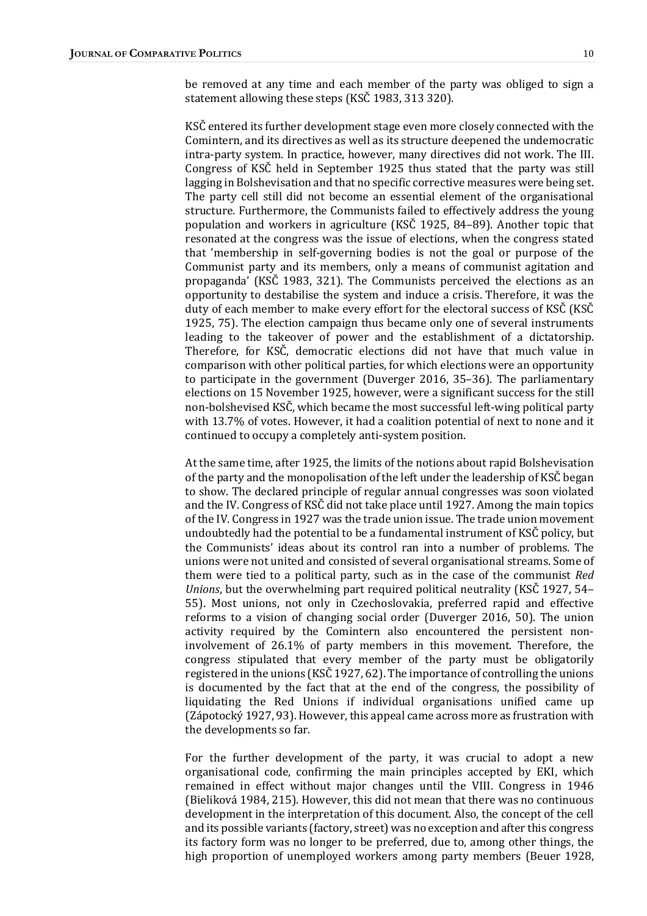be removed at any time and each member of the party was obliged to sign a statement allowing these steps (KSČ 1983, 313 320).

KSC entered its further development stage even more closely connected with the Comintern, and its directives as well as its structure deepened the undemocratic intra-party system. In practice, however, many directives did not work. The III. Congress of KSC held in September 1925 thus stated that the party was still lagging in Bolshevisation and that no specific corrective measures were being set. The party cell still did not become an essential element of the organisational structure. Furthermore, the Communists failed to effectively address the young population and workers in agriculture (KSČ 1925, 84–89). Another topic that resonated at the congress was the issue of elections, when the congress stated that 'membership in self-governing bodies is not the goal or purpose of the Communist party and its members, only a means of communist agitation and propaganda' (KSČ 1983, 321). The Communists perceived the elections as an opportunity to destabilise the system and induce a crisis. Therefore, it was the duty of each member to make every effort for the electoral success of KSČ (KSČ 1925, 75). The election campaign thus became only one of several instruments leading to the takeover of power and the establishment of a dictatorship. Therefore, for KSČ, democratic elections did not have that much value in comparison with other political parties, for which elections were an opportunity to participate in the government (Duverger 2016, 35–36). The parliamentary elections on 15 November 1925, however, were a significant success for the still non-bolshevised KSC, which became the most successful left-wing political party with 13.7% of votes. However, it had a coalition potential of next to none and it continued to occupy a completely anti-system position.

At the same time, after 1925, the limits of the notions about rapid Bolshevisation of the party and the monopolisation of the left under the leadership of KSC began to show. The declared principle of regular annual congresses was soon violated and the IV. Congress of KSC did not take place until 1927. Among the main topics of the IV. Congress in 1927 was the trade union issue. The trade union movement undoubtedly had the potential to be a fundamental instrument of KSC policy, but the Communists' ideas about its control ran into a number of problems. The unions were not united and consisted of several organisational streams. Some of them were tied to a political party, such as in the case of the communist Red Unions, but the overwhelming part required political neutrality (KSČ 1927, 54– 55). Most unions, not only in Czechoslovakia, preferred rapid and effective reforms to a vision of changing social order (Duverger 2016, 50). The union activity required by the Comintern also encountered the persistent noninvolvement of  $26.1\%$  of party members in this movement. Therefore, the congress stipulated that every member of the party must be obligatorily registered in the unions (KSC 1927, 62). The importance of controlling the unions is documented by the fact that at the end of the congress, the possibility of liquidating the Red Unions if individual organisations unified came up (Zápotocký 1927, 93). However, this appeal came across more as frustration with the developments so far.

For the further development of the party, it was crucial to adopt a new organisational code, confirming the main principles accepted by EKI, which remained in effect without major changes until the VIII. Congress in 1946 (Bieliková 1984, 215). However, this did not mean that there was no continuous development in the interpretation of this document. Also, the concept of the cell and its possible variants (factory, street) was no exception and after this congress its factory form was no longer to be preferred, due to, among other things, the high proportion of unemployed workers among party members (Beuer 1928,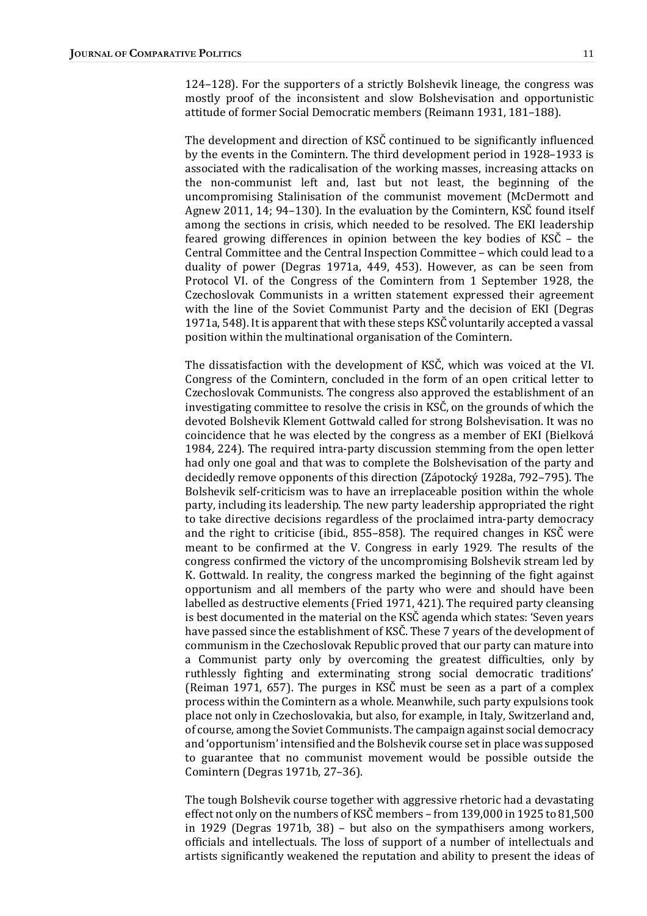$124-128$ ). For the supporters of a strictly Bolshevik lineage, the congress was mostly proof of the inconsistent and slow Bolshevisation and opportunistic attitude of former Social Democratic members (Reimann 1931, 181-188).

The development and direction of KSC continued to be significantly influenced by the events in the Comintern. The third development period in 1928–1933 is associated with the radicalisation of the working masses, increasing attacks on the non-communist left and, last but not least, the beginning of the uncompromising Stalinisation of the communist movement (McDermott and Agnew 2011, 14; 94–130). In the evaluation by the Comintern, KSČ found itself among the sections in crisis, which needed to be resolved. The EKI leadership feared growing differences in opinion between the key bodies of  $K\overline{S}C$  – the Central Committee and the Central Inspection Committee – which could lead to a duality of power (Degras 1971a, 449, 453). However, as can be seen from Protocol VI. of the Congress of the Comintern from 1 September 1928, the Czechoslovak Communists in a written statement expressed their agreement with the line of the Soviet Communist Party and the decision of EKI (Degras 1971a, 548). It is apparent that with these steps KSC voluntarily accepted a vassal position within the multinational organisation of the Comintern.

The dissatisfaction with the development of KSC, which was voiced at the VI. Congress of the Comintern, concluded in the form of an open critical letter to Czechoslovak Communists. The congress also approved the establishment of an investigating committee to resolve the crisis in KS $\check{C}$ , on the grounds of which the devoted Bolshevik Klement Gottwald called for strong Bolshevisation. It was no coincidence that he was elected by the congress as a member of EKI (Bielková 1984, 224). The required intra-party discussion stemming from the open letter had only one goal and that was to complete the Bolshevisation of the party and decidedly remove opponents of this direction (Zápotocký 1928a, 792–795). The Bolshevik self-criticism was to have an irreplaceable position within the whole party, including its leadership. The new party leadership appropriated the right to take directive decisions regardless of the proclaimed intra-party democracy and the right to criticise (ibid.,  $855-858$ ). The required changes in KSC were meant to be confirmed at the V. Congress in early 1929. The results of the congress confirmed the victory of the uncompromising Bolshevik stream led by K. Gottwald. In reality, the congress marked the beginning of the fight against opportunism and all members of the party who were and should have been labelled as destructive elements (Fried 1971, 421). The required party cleansing is best documented in the material on the KSC agenda which states: 'Seven years have passed since the establishment of KSC. These 7 years of the development of communism in the Czechoslovak Republic proved that our party can mature into a Communist party only by overcoming the greatest difficulties, only by ruthlessly fighting and exterminating strong social democratic traditions' (Reiman 1971, 657). The purges in KSC must be seen as a part of a complex process within the Comintern as a whole. Meanwhile, such party expulsions took place not only in Czechoslovakia, but also, for example, in Italy, Switzerland and, of course, among the Soviet Communists. The campaign against social democracy and 'opportunism' intensified and the Bolshevik course set in place was supposed to guarantee that no communist movement would be possible outside the Comintern (Degras 1971b, 27-36).

The tough Bolshevik course together with aggressive rhetoric had a devastating effect not only on the numbers of KSC members – from  $139,000$  in  $1925$  to  $81,500$ in  $1929$  (Degras  $1971b$ ,  $38$ ) – but also on the sympathisers among workers, officials and intellectuals. The loss of support of a number of intellectuals and artists significantly weakened the reputation and ability to present the ideas of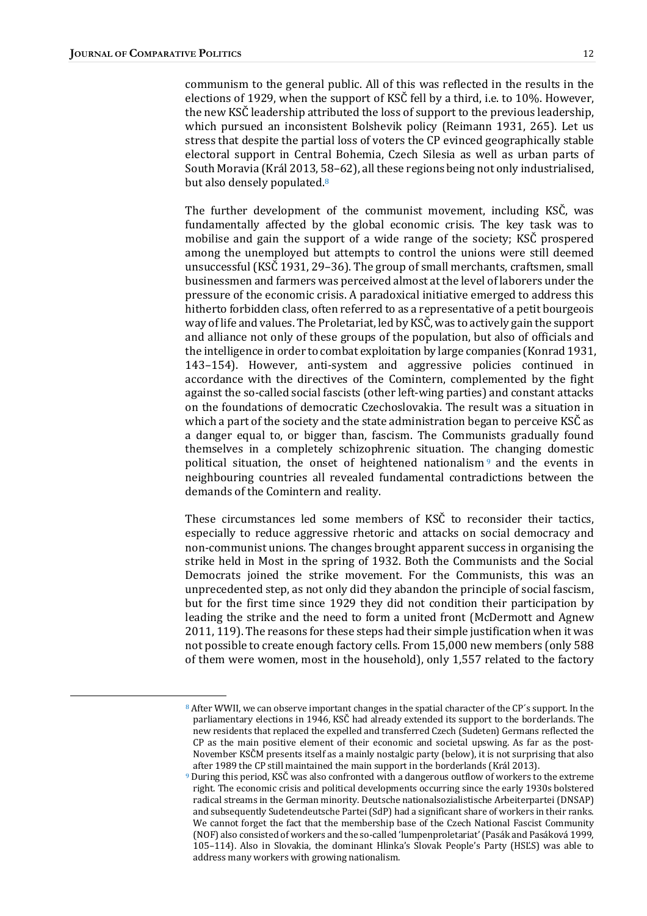communism to the general public. All of this was reflected in the results in the elections of 1929, when the support of KSC fell by a third, i.e. to 10%. However, the new KSC leadership attributed the loss of support to the previous leadership, which pursued an inconsistent Bolshevik policy (Reimann 1931, 265). Let us stress that despite the partial loss of voters the CP evinced geographically stable electoral support in Central Bohemia, Czech Silesia as well as urban parts of South Moravia (Král 2013, 58-62), all these regions being not only industrialised, but also densely populated.<sup>8</sup>

The further development of the communist movement, including KSC, was fundamentally affected by the global economic crisis. The key task was to mobilise and gain the support of a wide range of the society; KSC prospered among the unemployed but attempts to control the unions were still deemed unsuccessful (KSC 1931, 29–36). The group of small merchants, craftsmen, small businessmen and farmers was perceived almost at the level of laborers under the pressure of the economic crisis. A paradoxical initiative emerged to address this hitherto forbidden class, often referred to as a representative of a petit bourgeois way of life and values. The Proletariat, led by KSC, was to actively gain the support and alliance not only of these groups of the population, but also of officials and the intelligence in order to combat exploitation by large companies (Konrad 1931, 143–154). However, anti-system and aggressive policies continued in accordance with the directives of the Comintern, complemented by the fight against the so-called social fascists (other left-wing parties) and constant attacks on the foundations of democratic Czechoslovakia. The result was a situation in which a part of the society and the state administration began to perceive KSC as a danger equal to, or bigger than, fascism. The Communists gradually found themselves in a completely schizophrenic situation. The changing domestic political situation, the onset of heightened nationalism  $9$  and the events in neighbouring countries all revealed fundamental contradictions between the demands of the Comintern and reality.

These circumstances led some members of KSČ to reconsider their tactics. especially to reduce aggressive rhetoric and attacks on social democracy and non-communist unions. The changes brought apparent success in organising the strike held in Most in the spring of 1932. Both the Communists and the Social Democrats joined the strike movement. For the Communists, this was an unprecedented step, as not only did they abandon the principle of social fascism, but for the first time since 1929 they did not condition their participation by leading the strike and the need to form a united front (McDermott and Agnew 2011, 119). The reasons for these steps had their simple justification when it was not possible to create enough factory cells. From 15,000 new members (only 588) of them were women, most in the household), only 1,557 related to the factory

 $8$  After WWII, we can observe important changes in the spatial character of the CP's support. In the parliamentary elections in 1946, KSC had already extended its support to the borderlands. The new residents that replaced the expelled and transferred Czech (Sudeten) Germans reflected the  $CP$  as the main positive element of their economic and societal upswing. As far as the post-November KSČM presents itself as a mainly nostalgic party (below), it is not surprising that also after 1989 the CP still maintained the main support in the borderlands (Král 2013).

<sup>&</sup>lt;sup>9</sup> During this period, KSČ was also confronted with a dangerous outflow of workers to the extreme right. The economic crisis and political developments occurring since the early 1930s bolstered radical streams in the German minority. Deutsche nationalsozialistische Arbeiterpartei (DNSAP) and subsequently Sudetendeutsche Partei (SdP) had a significant share of workers in their ranks. We cannot forget the fact that the membership base of the Czech National Fascist Community (NOF) also consisted of workers and the so-called 'lumpenproletariat' (Pasák and Pasáková 1999, 105–114). Also in Slovakia, the dominant Hlinka's Slovak People's Party (HSĽS) was able to address many workers with growing nationalism.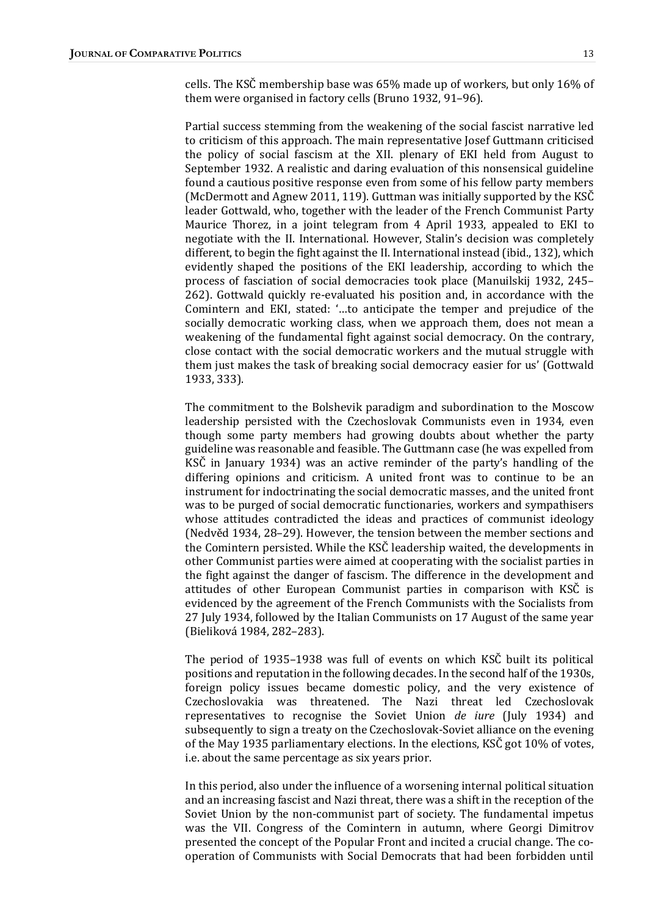cells. The KSC membership base was 65% made up of workers, but only 16% of them were organised in factory cells (Bruno 1932, 91-96).

Partial success stemming from the weakening of the social fascist narrative led to criticism of this approach. The main representative Josef Guttmann criticised the policy of social fascism at the XII. plenary of EKI held from August to September 1932. A realistic and daring evaluation of this nonsensical guideline found a cautious positive response even from some of his fellow party members (McDermott and Agnew 2011, 119). Guttman was initially supported by the KS $\check{C}$ leader Gottwald, who, together with the leader of the French Communist Party Maurice Thorez, in a joint telegram from 4 April 1933, appealed to EKI to negotiate with the II. International. However, Stalin's decision was completely different, to begin the fight against the II. International instead (ibid., 132), which evidently shaped the positions of the EKI leadership, according to which the process of fasciation of social democracies took place (Manuilskij 1932, 245– 262). Gottwald quickly re-evaluated his position and, in accordance with the Comintern and EKI, stated: '...to anticipate the temper and prejudice of the socially democratic working class, when we approach them, does not mean a weakening of the fundamental fight against social democracy. On the contrary, close contact with the social democratic workers and the mutual struggle with them just makes the task of breaking social democracy easier for us' (Gottwald 1933, 333). 

The commitment to the Bolshevik paradigm and subordination to the Moscow leadership persisted with the Czechoslovak Communists even in 1934, even though some party members had growing doubts about whether the party guideline was reasonable and feasible. The Guttmann case (he was expelled from KSC in January 1934) was an active reminder of the party's handling of the differing opinions and criticism. A united front was to continue to be an instrument for indoctrinating the social democratic masses, and the united front was to be purged of social democratic functionaries, workers and sympathisers whose attitudes contradicted the ideas and practices of communist ideology (Nedvěd 1934, 28–29). However, the tension between the member sections and the Comintern persisted. While the KSC leadership waited, the developments in other Communist parties were aimed at cooperating with the socialist parties in the fight against the danger of fascism. The difference in the development and attitudes of other European Communist parties in comparison with KSC is evidenced by the agreement of the French Communists with the Socialists from 27 July 1934, followed by the Italian Communists on 17 August of the same year (Bieliková 1984, 282-283).

The period of  $1935-1938$  was full of events on which KSC built its political positions and reputation in the following decades. In the second half of the 1930s, foreign policy issues became domestic policy, and the very existence of Czechoslovakia was threatened. The Nazi threat led Czechoslovak representatives to recognise the Soviet Union  $de$  iure (July 1934) and subsequently to sign a treaty on the Czechoslovak-Soviet alliance on the evening of the May 1935 parliamentary elections. In the elections, KSC got  $10\%$  of votes, i.e. about the same percentage as six years prior.

In this period, also under the influence of a worsening internal political situation and an increasing fascist and Nazi threat, there was a shift in the reception of the Soviet Union by the non-communist part of society. The fundamental impetus was the VII. Congress of the Comintern in autumn, where Georgi Dimitrov presented the concept of the Popular Front and incited a crucial change. The cooperation of Communists with Social Democrats that had been forbidden until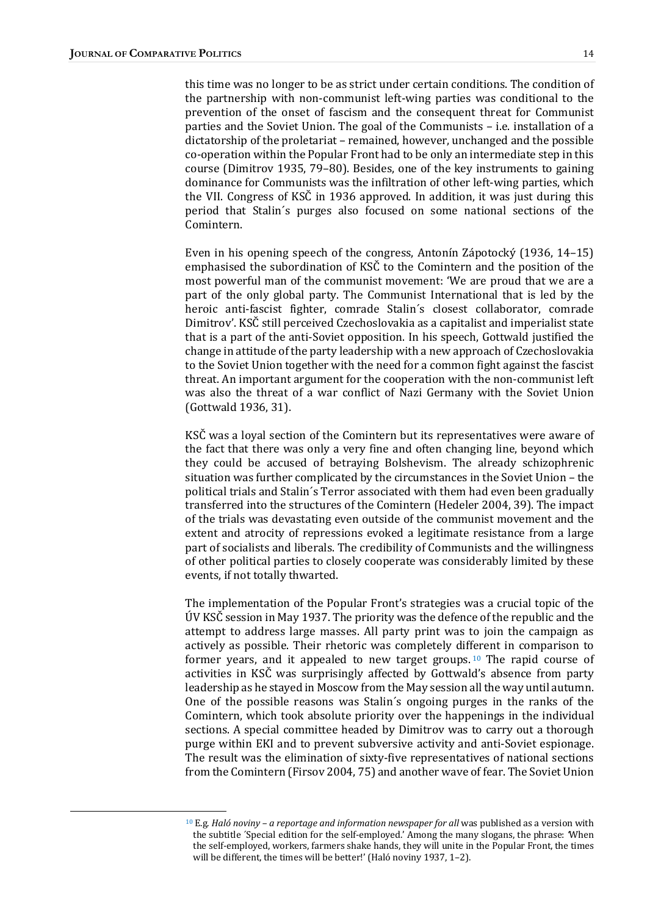this time was no longer to be as strict under certain conditions. The condition of the partnership with non-communist left-wing parties was conditional to the prevention of the onset of fascism and the consequent threat for Communist parties and the Soviet Union. The goal of the Communists  $-$  i.e. installation of a dictatorship of the proletariat – remained, however, unchanged and the possible co-operation within the Popular Front had to be only an intermediate step in this course (Dimitrov 1935, 79-80). Besides, one of the key instruments to gaining dominance for Communists was the infiltration of other left-wing parties, which the VII. Congress of KSC in 1936 approved. In addition, it was just during this period that Stalin's purges also focused on some national sections of the Comintern.

Even in his opening speech of the congress, Antonín Zápotocký  $(1936, 14-15)$ emphasised the subordination of KSC to the Comintern and the position of the most powerful man of the communist movement: 'We are proud that we are a part of the only global party. The Communist International that is led by the heroic anti-fascist fighter, comrade Stalin's closest collaborator, comrade Dimitrov'. KSC still perceived Czechoslovakia as a capitalist and imperialist state that is a part of the anti-Soviet opposition. In his speech, Gottwald justified the change in attitude of the party leadership with a new approach of Czechoslovakia to the Soviet Union together with the need for a common fight against the fascist threat. An important argument for the cooperation with the non-communist left was also the threat of a war conflict of Nazi Germany with the Soviet Union (Gottwald 1936, 31).

KSC was a loyal section of the Comintern but its representatives were aware of the fact that there was only a very fine and often changing line, beyond which they could be accused of betraying Bolshevism. The already schizophrenic situation was further complicated by the circumstances in the Soviet Union – the political trials and Stalin's Terror associated with them had even been gradually transferred into the structures of the Comintern (Hedeler 2004, 39). The impact of the trials was devastating even outside of the communist movement and the extent and atrocity of repressions evoked a legitimate resistance from a large part of socialists and liberals. The credibility of Communists and the willingness of other political parties to closely cooperate was considerably limited by these events, if not totally thwarted.

The implementation of the Popular Front's strategies was a crucial topic of the ÚV KSČ session in May 1937. The priority was the defence of the republic and the attempt to address large masses. All party print was to join the campaign as actively as possible. Their rhetoric was completely different in comparison to former years, and it appealed to new target groups.  $10$  The rapid course of activities in KSC was surprisingly affected by Gottwald's absence from party leadership as he stayed in Moscow from the May session all the way until autumn. One of the possible reasons was Stalin's ongoing purges in the ranks of the Comintern, which took absolute priority over the happenings in the individual sections. A special committee headed by Dimitrov was to carry out a thorough purge within EKI and to prevent subversive activity and anti-Soviet espionage. The result was the elimination of sixty-five representatives of national sections from the Comintern (Firsov 2004, 75) and another wave of fear. The Soviet Union

 $10$  E.g. Haló noviny – a reportage and information newspaper for all was published as a version with the subtitle 'Special edition for the self-employed.' Among the many slogans, the phrase: When the self-employed, workers, farmers shake hands, they will unite in the Popular Front, the times will be different, the times will be better!' (Haló noviny 1937, 1-2).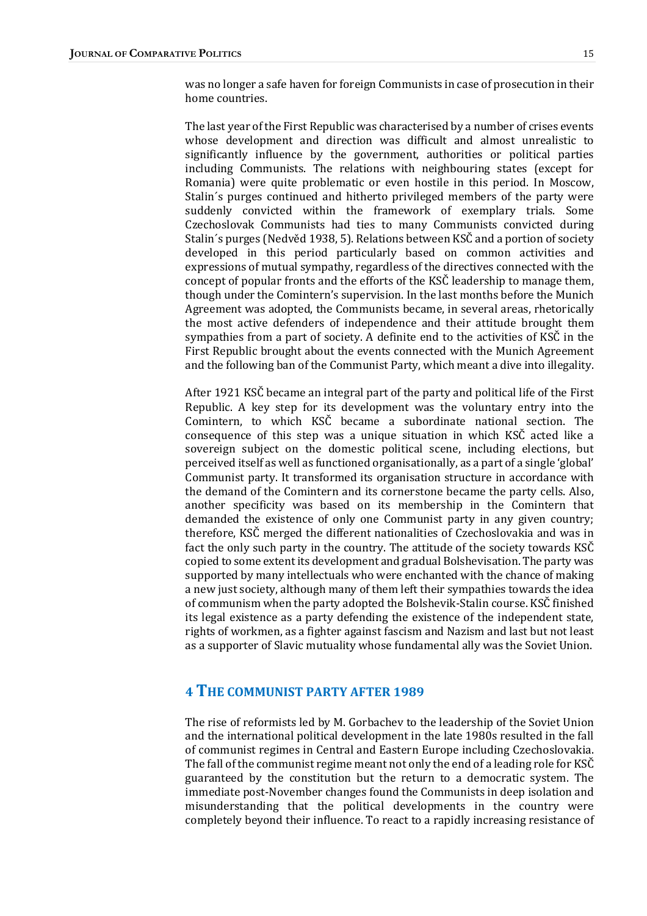was no longer a safe haven for foreign Communists in case of prosecution in their home countries.

The last year of the First Republic was characterised by a number of crises events whose development and direction was difficult and almost unrealistic to significantly influence by the government, authorities or political parties including Communists. The relations with neighbouring states (except for Romania) were quite problematic or even hostile in this period. In Moscow, Stalin's purges continued and hitherto privileged members of the party were suddenly convicted within the framework of exemplary trials. Some Czechoslovak Communists had ties to many Communists convicted during Stalin's purges (Nedvěd 1938, 5). Relations between KSČ and a portion of society developed in this period particularly based on common activities and expressions of mutual sympathy, regardless of the directives connected with the concept of popular fronts and the efforts of the KSC leadership to manage them, though under the Comintern's supervision. In the last months before the Munich Agreement was adopted, the Communists became, in several areas, rhetorically the most active defenders of independence and their attitude brought them sympathies from a part of society. A definite end to the activities of KSC in the First Republic brought about the events connected with the Munich Agreement and the following ban of the Communist Party, which meant a dive into illegality.

After 1921 KSC became an integral part of the party and political life of the First Republic. A key step for its development was the voluntary entry into the Comintern, to which KSČ became a subordinate national section. The consequence of this step was a unique situation in which KSČ acted like a sovereign subject on the domestic political scene, including elections, but perceived itself as well as functioned organisationally, as a part of a single 'global' Communist party. It transformed its organisation structure in accordance with the demand of the Comintern and its cornerstone became the party cells. Also, another specificity was based on its membership in the Comintern that demanded the existence of only one Communist party in any given country; therefore, KSC merged the different nationalities of Czechoslovakia and was in fact the only such party in the country. The attitude of the society towards KSC copied to some extent its development and gradual Bolshevisation. The party was supported by many intellectuals who were enchanted with the chance of making a new just society, although many of them left their sympathies towards the idea of communism when the party adopted the Bolshevik-Stalin course. KSC finished its legal existence as a party defending the existence of the independent state, rights of workmen, as a fighter against fascism and Nazism and last but not least as a supporter of Slavic mutuality whose fundamental ally was the Soviet Union.

#### **4 THE COMMUNIST PARTY AFTER 1989**

The rise of reformists led by M. Gorbachev to the leadership of the Soviet Union and the international political development in the late 1980s resulted in the fall of communist regimes in Central and Eastern Europe including Czechoslovakia. The fall of the communist regime meant not only the end of a leading role for KSC guaranteed by the constitution but the return to a democratic system. The immediate post-November changes found the Communists in deep isolation and misunderstanding that the political developments in the country were completely beyond their influence. To react to a rapidly increasing resistance of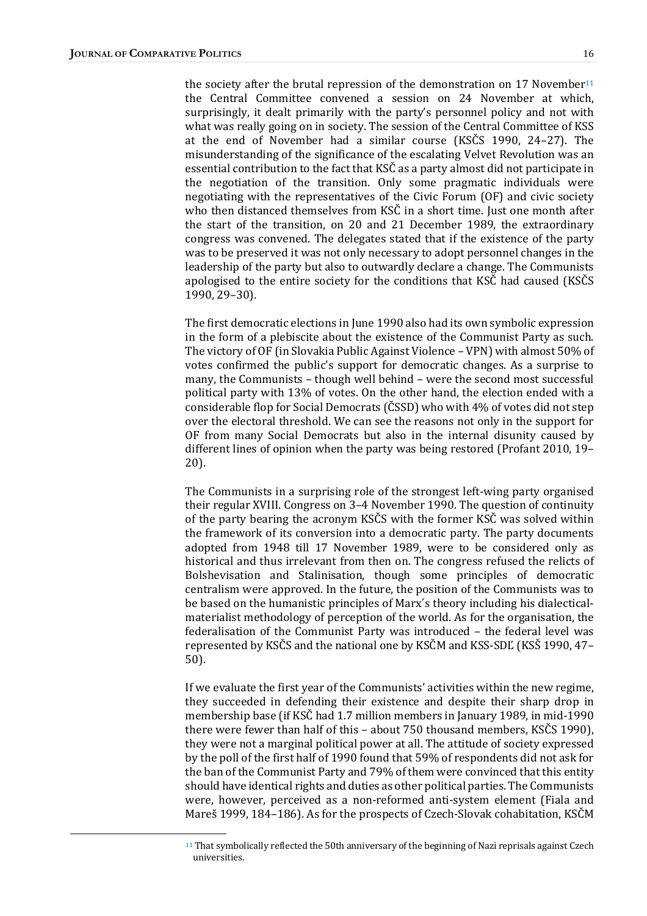the society after the brutal repression of the demonstration on 17 November<sup>11</sup> the Central Committee convened a session on 24 November at which, surprisingly, it dealt primarily with the party's personnel policy and not with what was really going on in society. The session of the Central Committee of KSS at the end of November had a similar course (KSCS 1990, 24–27). The misunderstanding of the significance of the escalating Velvet Revolution was an essential contribution to the fact that KSC as a party almost did not participate in the negotiation of the transition. Only some pragmatic individuals were negotiating with the representatives of the Civic Forum (OF) and civic society who then distanced themselves from KSC in a short time. Just one month after the start of the transition, on  $20$  and  $21$  December 1989, the extraordinary congress was convened. The delegates stated that if the existence of the party was to be preserved it was not only necessary to adopt personnel changes in the leadership of the party but also to outwardly declare a change. The Communists apologised to the entire society for the conditions that KSC had caused (KSCS) 1990, 29–30).

The first democratic elections in June 1990 also had its own symbolic expression in the form of a plebiscite about the existence of the Communist Party as such. The victory of OF (in Slovakia Public Against Violence – VPN) with almost  $50\%$  of votes confirmed the public's support for democratic changes. As a surprise to many, the Communists - though well behind - were the second most successful political party with 13% of votes. On the other hand, the election ended with a considerable flop for Social Democrats  $(ČSSD)$  who with 4% of votes did not step over the electoral threshold. We can see the reasons not only in the support for OF from many Social Democrats but also in the internal disunity caused by different lines of opinion when the party was being restored (Profant  $2010$ , 19– 20).

The Communists in a surprising role of the strongest left-wing party organised their regular XVIII. Congress on 3-4 November 1990. The question of continuity of the party bearing the acronym KSCS with the former KSC was solved within the framework of its conversion into a democratic party. The party documents adopted from 1948 till 17 November 1989, were to be considered only as historical and thus irrelevant from then on. The congress refused the relicts of Bolshevisation and Stalinisation, though some principles of democratic centralism were approved. In the future, the position of the Communists was to be based on the humanistic principles of Marx's theory including his dialecticalmaterialist methodology of perception of the world. As for the organisation, the federalisation of the Communist Party was introduced – the federal level was represented by KSCS and the national one by KSCM and KSS-SDL (KSS 1990, 47– 50). 

If we evaluate the first year of the Communists' activities within the new regime, they succeeded in defending their existence and despite their sharp drop in membership base (if KSC had 1.7 million members in January 1989, in mid-1990 there were fewer than half of this  $-$  about 750 thousand members, KSCS 1990), they were not a marginal political power at all. The attitude of society expressed by the poll of the first half of 1990 found that 59% of respondents did not ask for the ban of the Communist Party and 79% of them were convinced that this entity should have identical rights and duties as other political parties. The Communists were, however, perceived as a non-reformed anti-system element (Fiala and Mareš 1999, 184–186). As for the prospects of Czech-Slovak cohabitation, KSCM

<sup>&</sup>lt;sup>11</sup> That symbolically reflected the 50th anniversary of the beginning of Nazi reprisals against Czech universities.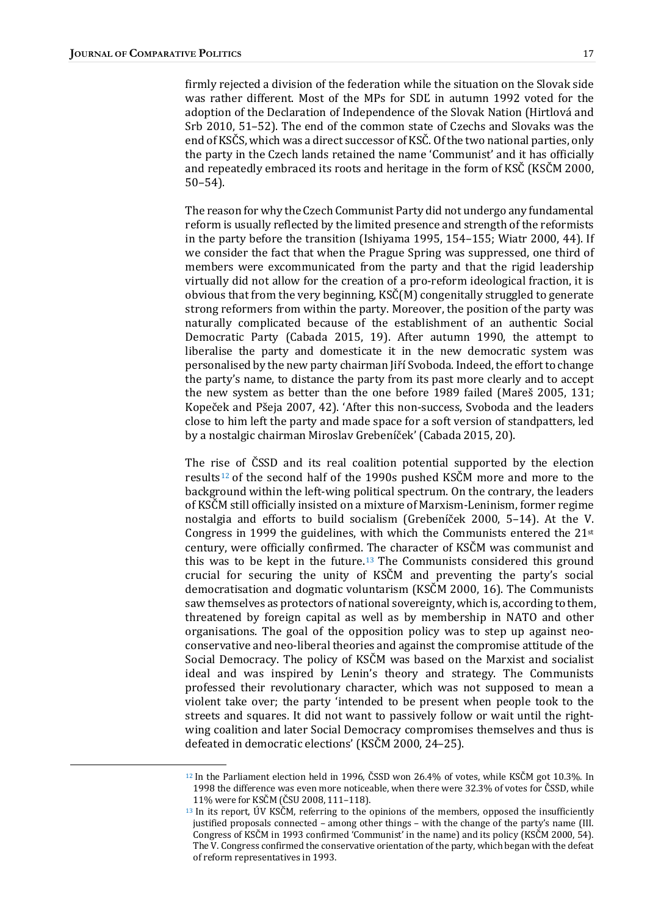firmly rejected a division of the federation while the situation on the Slovak side was rather different. Most of the MPs for SDL in autumn 1992 voted for the adoption of the Declaration of Independence of the Slovak Nation (Hirtlová and Srb 2010, 51-52). The end of the common state of Czechs and Slovaks was the end of KSČS, which was a direct successor of KSČ. Of the two national parties, only the party in the Czech lands retained the name 'Communist' and it has officially and repeatedly embraced its roots and heritage in the form of KSC (KSCM 2000, 50–54). 

The reason for why the Czech Communist Party did not undergo any fundamental reform is usually reflected by the limited presence and strength of the reformists in the party before the transition (Ishiyama 1995,  $154-155$ ; Wiatr 2000, 44). If we consider the fact that when the Prague Spring was suppressed, one third of members were excommunicated from the party and that the rigid leadership virtually did not allow for the creation of a pro-reform ideological fraction, it is obvious that from the very beginning,  $\text{KS}\zeta(M)$  congenitally struggled to generate strong reformers from within the party. Moreover, the position of the party was naturally complicated because of the establishment of an authentic Social Democratic Party (Cabada 2015, 19). After autumn 1990, the attempt to liberalise the party and domesticate it in the new democratic system was personalised by the new party chairman Jiří Svoboda. Indeed, the effort to change the party's name, to distance the party from its past more clearly and to accept the new system as better than the one before 1989 failed (Mareš 2005, 131; Kopeček and Pšeja 2007, 42). 'After this non-success, Svoboda and the leaders close to him left the party and made space for a soft version of standpatters, led by a nostalgic chairman Miroslav Grebeníček' (Cabada 2015, 20).

The rise of CSSD and its real coalition potential supported by the election results<sup>12</sup> of the second half of the 1990s pushed KSČM more and more to the background within the left-wing political spectrum. On the contrary, the leaders of KSČM still officially insisted on a mixture of Marxism-Leninism, former regime nostalgia and efforts to build socialism (Grebeníček  $2000$ , 5–14). At the V. Congress in 1999 the guidelines, with which the Communists entered the  $21^{st}$ century, were officially confirmed. The character of KSČM was communist and this was to be kept in the future.<sup>13</sup> The Communists considered this ground crucial for securing the unity of KSČM and preventing the party's social democratisation and dogmatic voluntarism (KSČM 2000, 16). The Communists saw themselves as protectors of national sovereignty, which is, according to them, threatened by foreign capital as well as by membership in NATO and other organisations. The goal of the opposition policy was to step up against neoconservative and neo-liberal theories and against the compromise attitude of the Social Democracy. The policy of KSČM was based on the Marxist and socialist ideal and was inspired by Lenin's theory and strategy. The Communists professed their revolutionary character, which was not supposed to mean a violent take over; the party 'intended to be present when people took to the streets and squares. It did not want to passively follow or wait until the rightwing coalition and later Social Democracy compromises themselves and thus is defeated in democratic elections' (KSČM 2000, 24–25).

 $12$  In the Parliament election held in 1996, ČSSD won 26.4% of votes, while KSČM got 10.3%. In 1998 the difference was even more noticeable, when there were 32.3% of votes for CSSD, while 11% were for KSČM (ČSU 2008, 111–118).

 $13$  In its report, UV KSČM, referring to the opinions of the members, opposed the insufficiently justified proposals connected – among other things – with the change of the party's name (III. Congress of KSČM in 1993 confirmed 'Communist' in the name) and its policy (KSČM 2000, 54). The V. Congress confirmed the conservative orientation of the party, which began with the defeat of reform representatives in 1993.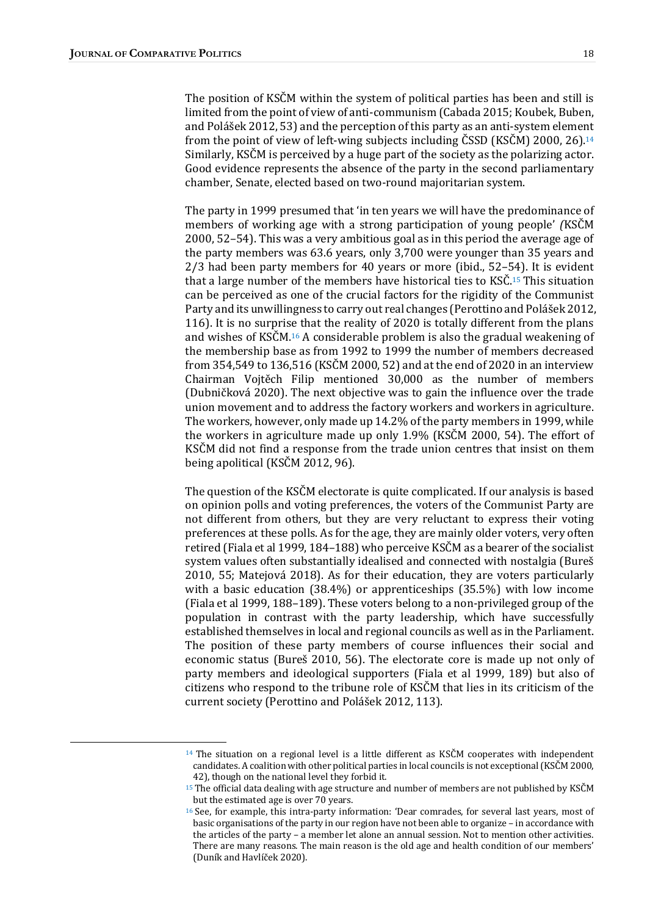The position of KSCM within the system of political parties has been and still is limited from the point of view of anti-communism (Cabada 2015; Koubek, Buben, and Polášek 2012, 53) and the perception of this party as an anti-system element from the point of view of left-wing subjects including  $\text{CSSD}$  (KSCM) 2000, 26).<sup>14</sup> Similarly, KSČM is perceived by a huge part of the society as the polarizing actor. Good evidence represents the absence of the party in the second parliamentary chamber, Senate, elected based on two-round majoritarian system.

The party in 1999 presumed that 'in ten years we will have the predominance of members of working age with a strong participation of young people' (KSČM)  $2000, 52-54$ . This was a very ambitious goal as in this period the average age of the party members was 63.6 years, only 3,700 were younger than 35 years and  $2/3$  had been party members for 40 years or more (ibid.,  $52-54$ ). It is evident that a large number of the members have historical ties to  $K\tilde{\mathrm{C}}$ .<sup>15</sup> This situation can be perceived as one of the crucial factors for the rigidity of the Communist Party and its unwillingness to carry out real changes (Perottino and Polášek 2012, 116). It is no surprise that the reality of 2020 is totally different from the plans and wishes of KSCM.<sup>16</sup> A considerable problem is also the gradual weakening of the membership base as from 1992 to 1999 the number of members decreased from  $354,549$  to  $136,516$  (KSCM 2000, 52) and at the end of 2020 in an interview Chairman Vojtěch Filip mentioned 30,000 as the number of members (Dubničková 2020). The next objective was to gain the influence over the trade union movement and to address the factory workers and workers in agriculture. The workers, however, only made up  $14.2\%$  of the party members in 1999, while the workers in agriculture made up only  $1.9\%$  (KSCM 2000, 54). The effort of KSČM did not find a response from the trade union centres that insist on them being apolitical (KSCM 2012, 96).

The question of the KSCM electorate is quite complicated. If our analysis is based on opinion polls and voting preferences, the voters of the Communist Party are not different from others, but they are very reluctant to express their voting preferences at these polls. As for the age, they are mainly older voters, very often retired (Fiala et al 1999, 184–188) who perceive KSCM as a bearer of the socialist system values often substantially idealised and connected with nostalgia (Bureš 2010, 55; Matejová 2018). As for their education, they are voters particularly with a basic education  $(38.4\%)$  or apprenticeships  $(35.5\%)$  with low income (Fiala et al 1999, 188–189). These voters belong to a non-privileged group of the population in contrast with the party leadership, which have successfully established themselves in local and regional councils as well as in the Parliament. The position of these party members of course influences their social and economic status (Bureš 2010, 56). The electorate core is made up not only of party members and ideological supporters (Fiala et al 1999, 189) but also of citizens who respond to the tribune role of KSCM that lies in its criticism of the current society (Perottino and Polášek 2012, 113).

 $14$  The situation on a regional level is a little different as KSČM cooperates with independent candidates. A coalition with other political parties in local councils is not exceptional (KSČM 2000, 42), though on the national level they forbid it.

<sup>&</sup>lt;sup>15</sup> The official data dealing with age structure and number of members are not published by KSČM but the estimated age is over 70 years.

 $16$  See, for example, this intra-party information: 'Dear comrades, for several last years, most of basic organisations of the party in our region have not been able to organize – in accordance with the articles of the party – a member let alone an annual session. Not to mention other activities. There are many reasons. The main reason is the old age and health condition of our members' (Duník and Havlíček 2020).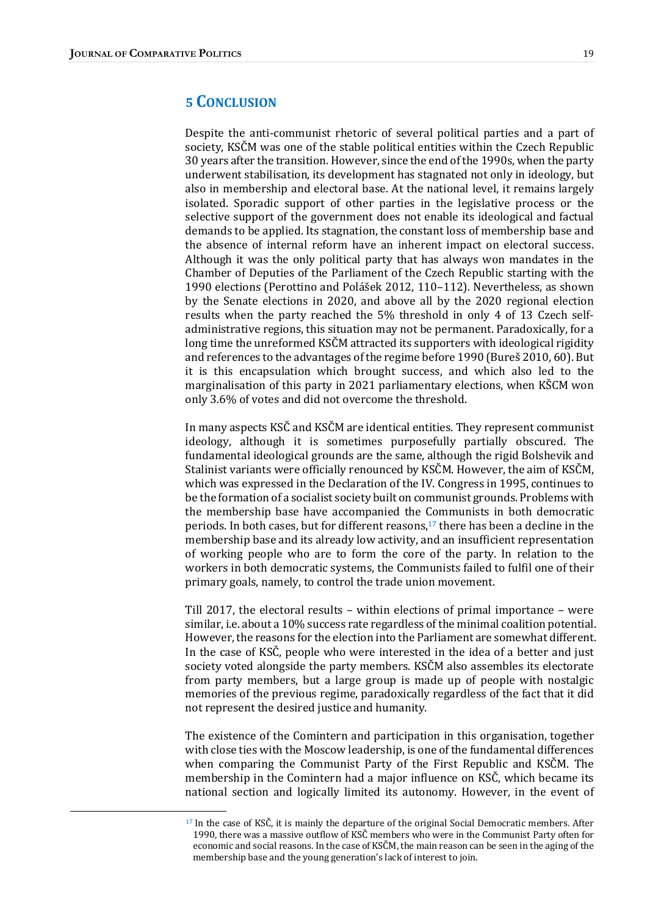# 5 CONCLUSION

Despite the anti-communist rhetoric of several political parties and a part of society, KSCM was one of the stable political entities within the Czech Republic 30 years after the transition. However, since the end of the 1990s, when the party underwent stabilisation, its development has stagnated not only in ideology, but also in membership and electoral base. At the national level, it remains largely isolated. Sporadic support of other parties in the legislative process or the selective support of the government does not enable its ideological and factual demands to be applied. Its stagnation, the constant loss of membership base and the absence of internal reform have an inherent impact on electoral success. Although it was the only political party that has always won mandates in the Chamber of Deputies of the Parliament of the Czech Republic starting with the 1990 elections (Perottino and Polášek 2012, 110-112). Nevertheless, as shown by the Senate elections in 2020, and above all by the 2020 regional election results when the party reached the  $5\%$  threshold in only 4 of 13 Czech selfadministrative regions, this situation may not be permanent. Paradoxically, for a long time the unreformed KSCM attracted its supporters with ideological rigidity and references to the advantages of the regime before 1990 (Bureš 2010, 60). But it is this encapsulation which brought success, and which also led to the marginalisation of this party in 2021 parliamentary elections, when KŠCM won only 3.6% of votes and did not overcome the threshold.

In many aspects KSC and KSCM are identical entities. They represent communist ideology, although it is sometimes purposefully partially obscured. The fundamental ideological grounds are the same, although the rigid Bolshevik and Stalinist variants were officially renounced by KSČM. However, the aim of KSČM, which was expressed in the Declaration of the IV. Congress in 1995, continues to be the formation of a socialist society built on communist grounds. Problems with the membership base have accompanied the Communists in both democratic periods. In both cases, but for different reasons, $17$  there has been a decline in the membership base and its already low activity, and an insufficient representation of working people who are to form the core of the party. In relation to the workers in both democratic systems, the Communists failed to fulfil one of their primary goals, namely, to control the trade union movement.

Till 2017, the electoral results  $-$  within elections of primal importance  $-$  were similar, i.e. about a 10% success rate regardless of the minimal coalition potential. However, the reasons for the election into the Parliament are somewhat different. In the case of KSC, people who were interested in the idea of a better and just society voted alongside the party members. KSČM also assembles its electorate from party members, but a large group is made up of people with nostalgic memories of the previous regime, paradoxically regardless of the fact that it did not represent the desired justice and humanity.

The existence of the Comintern and participation in this organisation, together with close ties with the Moscow leadership, is one of the fundamental differences when comparing the Communist Party of the First Republic and KSCM. The membership in the Comintern had a major influence on KSC, which became its national section and logically limited its autonomy. However, in the event of

 $17$  In the case of KSC, it is mainly the departure of the original Social Democratic members. After 1990, there was a massive outflow of KSČ members who were in the Communist Party often for economic and social reasons. In the case of KSČM, the main reason can be seen in the aging of the membership base and the young generation's lack of interest to join.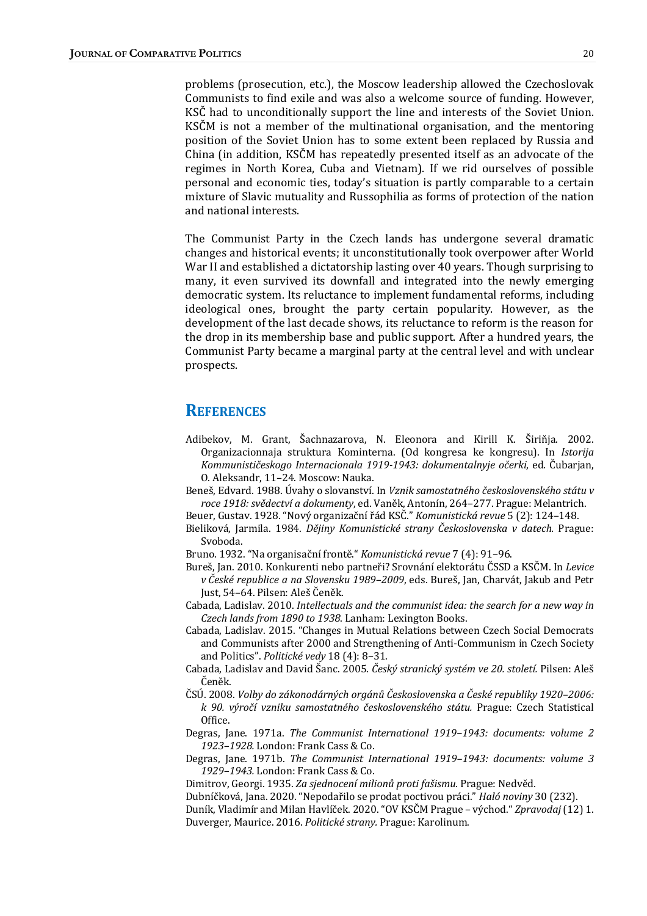problems (prosecution, etc.), the Moscow leadership allowed the Czechoslovak Communists to find exile and was also a welcome source of funding. However, KSČ had to unconditionally support the line and interests of the Soviet Union. KSČM is not a member of the multinational organisation, and the mentoring position of the Soviet Union has to some extent been replaced by Russia and China (in addition, KSČM has repeatedly presented itself as an advocate of the regimes in North Korea, Cuba and Vietnam). If we rid ourselves of possible personal and economic ties, today's situation is partly comparable to a certain mixture of Slavic mutuality and Russophilia as forms of protection of the nation and national interests.

The Communist Party in the Czech lands has undergone several dramatic changes and historical events; it unconstitutionally took overpower after World War II and established a dictatorship lasting over 40 years. Though surprising to many, it even survived its downfall and integrated into the newly emerging democratic system. Its reluctance to implement fundamental reforms, including ideological ones, brought the party certain popularity. However, as the development of the last decade shows, its reluctance to reform is the reason for the drop in its membership base and public support. After a hundred years, the Communist Party became a marginal party at the central level and with unclear prospects. 

## **REFERENCES**

- Adibekov, M. Grant, Šachnazarova, N. Eleonora and Kirill K. Širiňja. 2002. Organizacionnaja struktura Kominterna. (Od kongresa ke kongresu). In *Istorija* Kommunističeskogo Internacionala 1919-1943: dokumentalnyje očerki, ed. Čubarjan, O. Aleksandr, 11-24. Moscow: Nauka.
- Beneš, Edvard. 1988. Úvahy o slovanství. In Vznik samostatného československého státu v roce 1918: svědectví a dokumenty, ed. Vaněk, Antonín, 264–277. Prague: Melantrich.

Beuer, Gustav. 1928. "Nový organizační řád KSČ." Komunistická revue 5 (2): 124–148.

Bieliková, Jarmila. 1984. Dějiny Komunistické strany Československa v datech. Prague: Svoboda.

- Bruno. 1932. "Na organisační frontě." Komunistická revue 7 (4): 91-96.
- Bureš, Jan. 2010. Konkurenti nebo partneři? Srovnání elektorátu ČSSD a KSČM. In Levice v České republice a na Slovensku 1989–2009, eds. Bureš, Jan, Charvát, Jakub and Petr Iust. 54-64. Pilsen: Aleš Čeněk.
- Cabada, Ladislav. 2010. Intellectuals and the communist idea: the search for a new way in Czech lands from 1890 to 1938. Lanham: Lexington Books.
- Cabada, Ladislav. 2015. "Changes in Mutual Relations between Czech Social Democrats and Communists after 2000 and Strengthening of Anti-Communism in Czech Society and Politics". Politické vedy 18 (4): 8-31.
- Cabada, Ladislav and David Šanc. 2005. Český stranický systém ve 20. století. Pilsen: Aleš Čeněk.
- ČSÚ. 2008. Volby do zákonodárných orgánů Československa a České republiky 1920-2006: k 90. výročí vzniku samostatného československého státu. Prague: Czech Statistical Office.
- Degras, Jane. 1971a. The Communist International 1919–1943: documents: volume 2 1923-1928. London: Frank Cass & Co.
- Degras, Jane. 1971b. The Communist International 1919–1943: documents: volume 3 1929–1943. London: Frank Cass & Co.

Dimitrov, Georgi. 1935. Za sjednocení milionů proti fašismu. Prague: Nedvěd.

Dubníčková, Jana. 2020. "Nepodařilo se prodat poctivou práci." Haló noviny 30 (232).

Duník, Vladimír and Milan Havlíček. 2020. "OV KSČM Prague – východ." Zpravodaj (12) 1. Duverger, Maurice. 2016. Politické strany. Prague: Karolinum.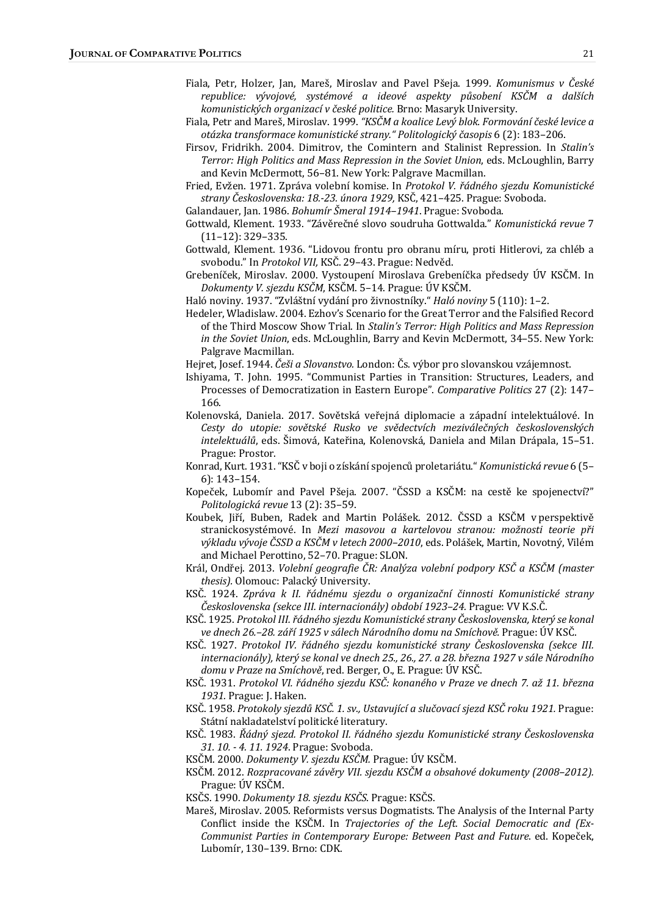- Fiala, Petr, Holzer, Jan, Mareš, Miroslav and Pavel Pšeja. 1999. Komunismus v České republice: vývojové, systémové a ideové aspekty působení KSČM a dalších komunistických organizací v české politice. Brno: Masaryk University.
- Fiala, Petr and Mareš, Miroslav. 1999. "KSČM a koalice Levý blok. Formování české levice a otázka transformace komunistické strany." Politologický časopis 6 (2): 183-206.
- Firsov, Fridrikh. 2004. Dimitrov, the Comintern and Stalinist Repression. In Stalin's Terror: High Politics and Mass Repression in the Soviet Union, eds. McLoughlin, Barry and Kevin McDermott, 56-81. New York: Palgrave Macmillan.
- Fried, Evžen. 1971. Zpráva volební komise. In Protokol V. řádného sjezdu Komunistické strany Československa: 18.-23. února 1929. KSČ. 421–425. Prague: Svoboda.
- Galandauer, Jan. 1986. Bohumír Šmeral 1914–1941. Prague: Svoboda.
- Gottwald, Klement. 1933. "Závěrečné slovo soudruha Gottwalda." Komunistická revue 7  $(11-12): 329-335.$
- Gottwald, Klement. 1936. "Lidovou frontu pro obranu míru, proti Hitlerovi, za chléb a svobodu." In *Protokol VII*, KSČ. 29–43. Prague: Nedvěd.
- Grebeníček, Miroslav. 2000. Vystoupení Miroslava Grebeníčka předsedy ÚV KSČM. In Dokumenty V. sjezdu KSČM, KSČM. 5-14. Prague: ÚV KSČM.
- Haló noviny. 1937. "Zvláštní vydání pro živnostníky." Haló noviny 5  $(110)$ : 1–2.
- Hedeler, Wladislaw. 2004. Ezhov's Scenario for the Great Terror and the Falsified Record of the Third Moscow Show Trial. In Stalin's Terror: High Politics and Mass Repression in the Soviet Union, eds. McLoughlin, Barry and Kevin McDermott, 34-55. New York: Palgrave Macmillan.
- Hejret, Josef. 1944. Češi a Slovanstvo. London: Čs. výbor pro slovanskou vzájemnost.
- Ishiyama, T. John. 1995. "Communist Parties in Transition: Structures, Leaders, and Processes of Democratization in Eastern Europe". Comparative Politics 27 (2): 147– 166.
- Kolenovská, Daniela. 2017. Sovětská veřejná diplomacie a západní intelektuálové. In Cesty do utopie: sovětské Rusko ve svědectvích meziválečných československých intelektuálů, eds. Šimová, Kateřina, Kolenovská, Daniela and Milan Drápala, 15–51. Prague: Prostor.
- Konrad, Kurt. 1931. "KSČ v boji o získání spojenců proletariátu." *Komunistická revue* 6 (5– 6): 143–154.
- Kopeček, Lubomír and Pavel Pšeja. 2007. "ČSSD a KSČM: na cestě ke spojenectví?" Politologická revue 13 (2): 35-59.
- Koubek, Jiří, Buben, Radek and Martin Polášek. 2012. ČSSD a KSČM v perspektivě stranickosystémové. In Mezi masovou a kartelovou stranou: možnosti teorie při výkladu vývoje ČSSD a KSČM v letech 2000–2010, eds. Polášek, Martin, Novotný, Vilém and Michael Perottino, 52-70. Prague: SLON.
- Král, Ondřej. 2013. Volební geografie ČR: Analýza volební podpory KSČ a KSČM (master thesis). Olomouc: Palacký University.
- KSČ. 1924. Zpráva k II. řádnému sjezdu o organizační činnosti Komunistické strany Československa (sekce III. internacionály) období 1923–24. Prague: VV K.S.Č.
- KSČ. 1925. Protokol III. řádného sjezdu Komunistické strany Československa, který se konal ve dnech 26.–28. září 1925 v sálech Národního domu na Smíchově. Prague: ÚV KSČ.
- KSČ. 1927. Protokol IV. řádného sjezdu komunistické strany Československa (sekce III. internacionály), který se konal ve dnech 25., 26., 27. a 28. března 1927 v sále Národního domu v Praze na Smíchově, red. Berger, O., E. Prague: ÚV KSČ.
- KSČ. 1931. Protokol VI. řádného sjezdu KSČ: konaného v Praze ve dnech 7. až 11. března 1931. Prague: J. Haken.
- KSČ. 1958. Protokoly sjezdů KSČ. 1. sv., Ustavující a slučovací sjezd KSČ roku 1921. Prague: Státní nakladatelství politické literatury.
- KSČ. 1983. Řádný sjezd. Protokol II. řádného sjezdu Komunistické strany Československa 31. 10. - 4. 11. 1924. Prague: Svoboda.
- KSČM. 2000. *Dokumenty V. sjezdu KSČM.* Prague: ÚV KSČM.
- KSČM. 2012. Rozpracované závěry VII. sjezdu KSČM a obsahové dokumenty (2008–2012). Prague: ÚV KSČM.
- KSČS. 1990. Dokumenty 18. sjezdu KSČS. Prague: KSČS.
- Mareš, Miroslav. 2005. Reformists versus Dogmatists. The Analysis of the Internal Party Conflict inside the KSCM. In *Trajectories* of the Left. Social Democratic and  $\ell$ Ex-Communist Parties in Contemporary Europe: Between Past and Future. ed. Kopeček, Lubomír, 130-139. Brno: CDK.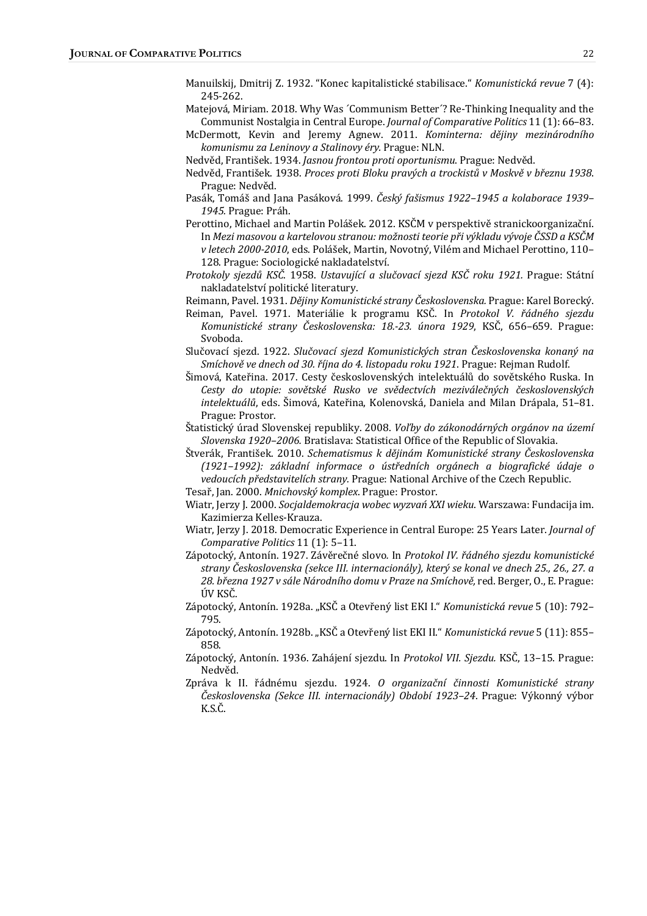- Manuilskij, Dmitrij Z. 1932. "Konec kapitalistické stabilisace." Komunistická revue 7 (4): 245-262.
- Matejová, Miriam. 2018. Why Was 'Communism Better'? Re-Thinking Inequality and the Communist Nostalgia in Central Europe. Journal of Comparative Politics 11 (1): 66-83.
- McDermott, Kevin and Jeremy Agnew. 2011. Kominterna: dějiny mezinárodního komunismu za Leninovy a Stalinovy éry. Prague: NLN.
- Nedvěd, František. 1934. Jasnou frontou proti oportunismu. Prague: Nedvěd.
- Nedvěd, František. 1938. Proces proti Bloku pravých a trockistů v Moskvě v březnu 1938. Prague: Nedvěd.
- Pasák, Tomáš and Jana Pasáková. 1999. Český fašismus 1922–1945 a kolaborace 1939– 1945. Prague: Práh.
- Perottino, Michael and Martin Polášek. 2012. KSČM v perspektivě stranickoorganizační. In Mezi masovou a kartelovou stranou: možnosti teorie při výkladu vývoje CSSD a KSČM v letech 2000-2010, eds. Polášek, Martin, Novotný, Vilém and Michael Perottino, 110-128. Prague: Sociologické nakladatelství.
- Protokoly sjezdů KSČ. 1958. Ustavující a slučovací sjezd KSČ roku 1921. Prague: Státní nakladatelství politické literatury.
- Reimann, Pavel. 1931. Dějiny Komunistické strany Československa. Prague: Karel Borecký.
- Reiman, Pavel. 1971. Materiálie k programu KSČ. In Protokol V. řádného sjezdu Komunistické strany Československa: 18.-23. února 1929, KSČ, 656-659. Prague: Svoboda.
- Slučovací sjezd. 1922. Slučovací sjezd Komunistických stran Československa konaný na Smíchově ve dnech od 30. října do 4. listopadu roku 1921. Prague: Rejman Rudolf.
- Šimová, Kateřina. 2017. Cesty československých intelektuálů do sovětského Ruska. In Cesty do utopie: sovětské Rusko ve svědectvích meziválečných československých intelektuálů, eds. Šimová, Kateřina, Kolenovská, Daniela and Milan Drápala, 51–81. Prague: Prostor.
- Štatistický úrad Slovenskej republiky. 2008. Voľby do zákonodárných orgánov na území Slovenska 1920-2006. Bratislava: Statistical Office of the Republic of Slovakia.
- Stverák, František. 2010. Schematismus k dějinám Komunistické strany Československa (1921–1992): základní informace o ústředních orgánech a biografické údaje o vedoucích představitelích strany. Prague: National Archive of the Czech Republic.
- Tesař, Jan. 2000. Mnichovský komplex. Prague: Prostor.
- Wiatr, Jerzy J. 2000. Socjaldemokracja wobec wyzvań XXI wieku. Warszawa: Fundacija im. Kazimierza Kelles-Krauza.
- Wiatr, Jerzy J. 2018. Democratic Experience in Central Europe: 25 Years Later. *Journal of* Comparative Politics 11 (1): 5-11.
- Zápotocký, Antonín. 1927. Závěrečné slovo. In Protokol IV. řádného sjezdu komunistické strany Československa (sekce III. internacionály), který se konal ve dnech 25., 26., 27. a 28. března 1927 v sále Národního domu v Praze na Smíchově, red. Berger, O., E. Prague: ÚV KSČ.
- Zápotocký, Antonín. 1928a. "KSČ a Otevřený list EKI I." *Komunistická revue* 5 (10): 792– 795.
- Zápotocký, Antonín. 1928b. "KSČ a Otevřený list EKI II." Komunistická revue 5 (11): 855– 858.
- Zápotocký, Antonín. 1936. Zahájení sjezdu. In Protokol VII. Sjezdu. KSČ, 13-15. Prague: Nedvěd.
- Zpráva k II. řádnému sjezdu. 1924. O organizační činnosti Komunistické strany Československa (Sekce III. internacionály) Období 1923–24. Prague: Výkonný výbor K.S.Č.